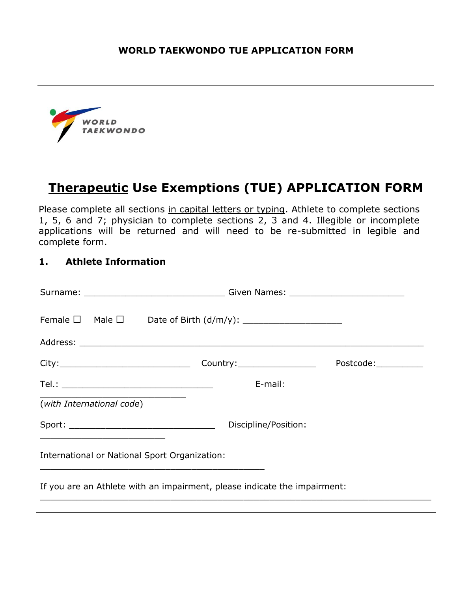

# **Therapeutic Use Exemptions (TUE) APPLICATION FORM**

Please complete all sections in capital letters or typing. Athlete to complete sections 1, 5, 6 and 7; physician to complete sections 2, 3 and 4. Illegible or incomplete applications will be returned and will need to be re-submitted in legible and complete form.

### **1. Athlete Information**

| Surname: ___________________________________Given Names: _______________________ |                      |                      |  |  |
|----------------------------------------------------------------------------------|----------------------|----------------------|--|--|
|                                                                                  |                      |                      |  |  |
|                                                                                  |                      |                      |  |  |
|                                                                                  |                      | Postcode:___________ |  |  |
|                                                                                  | E-mail:              |                      |  |  |
| (with International code)                                                        |                      |                      |  |  |
|                                                                                  | Discipline/Position: |                      |  |  |
| International or National Sport Organization:                                    |                      |                      |  |  |
| If you are an Athlete with an impairment, please indicate the impairment:        |                      |                      |  |  |
|                                                                                  |                      |                      |  |  |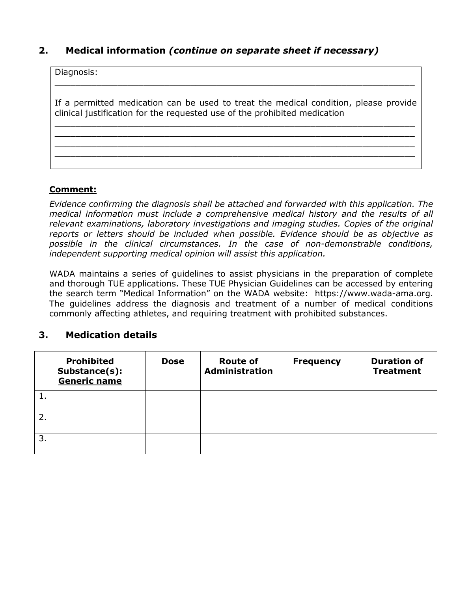### **2. Medical information** *(continue on separate sheet if necessary)*

| Diagnosis:                                                                                                                                                        |
|-------------------------------------------------------------------------------------------------------------------------------------------------------------------|
| If a permitted medication can be used to treat the medical condition, please provide<br>clinical justification for the requested use of the prohibited medication |
|                                                                                                                                                                   |
|                                                                                                                                                                   |

#### **Comment:**

*Evidence confirming the diagnosis shall be attached and forwarded with this application. The medical information must include a comprehensive medical history and the results of all relevant examinations, laboratory investigations and imaging studies. Copies of the original reports or letters should be included when possible. Evidence should be as objective as possible in the clinical circumstances. In the case of non-demonstrable conditions, independent supporting medical opinion will assist this application.*

WADA maintains a series of guidelines to assist physicians in the preparation of complete and thorough TUE applications. These TUE Physician Guidelines can be accessed by entering the search term "Medical Information" on the WADA website: https://www.wada-ama.org. The guidelines address the diagnosis and treatment of a number of medical conditions commonly affecting athletes, and requiring treatment with prohibited substances.

#### **3. Medication details**

|    | <b>Prohibited</b><br>Substance(s):<br>Generic name | <b>Dose</b> | <b>Route of</b><br><b>Administration</b> | <b>Frequency</b> | <b>Duration of</b><br><b>Treatment</b> |
|----|----------------------------------------------------|-------------|------------------------------------------|------------------|----------------------------------------|
|    |                                                    |             |                                          |                  |                                        |
|    |                                                    |             |                                          |                  |                                        |
| 3. |                                                    |             |                                          |                  |                                        |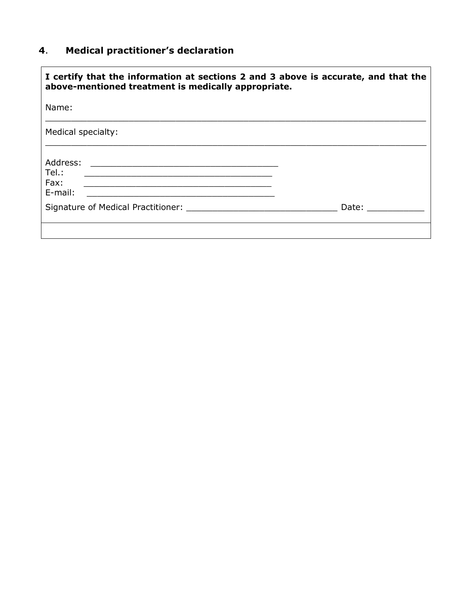### **4**. **Medical practitioner's declaration**

| I certify that the information at sections 2 and 3 above is accurate, and that the<br>above-mentioned treatment is medically appropriate.                                                                                                                                                                                                             |                     |  |  |  |
|-------------------------------------------------------------------------------------------------------------------------------------------------------------------------------------------------------------------------------------------------------------------------------------------------------------------------------------------------------|---------------------|--|--|--|
| Name:                                                                                                                                                                                                                                                                                                                                                 |                     |  |  |  |
| Medical specialty:                                                                                                                                                                                                                                                                                                                                    |                     |  |  |  |
| Address:<br><u> 1980 - Jan Alexandro Alexandro Alexandro Alexandro Alexandro Alexandro Alexandro Alexandro Alexandro Alexandro </u><br>Tel.:<br><u> 1989 - Johann John Harry, mars eta bat eta bat eta bat eta bat eta bat eta bat eta bat eta bat eta bat eta b</u><br>Fax:<br><u> 1989 - Johann Barbara, martxa alemaniar amerikan a</u><br>E-mail: |                     |  |  |  |
| Signature of Medical Practitioner: Network and Signature of Medical Practitioner:                                                                                                                                                                                                                                                                     | Date: <u>______</u> |  |  |  |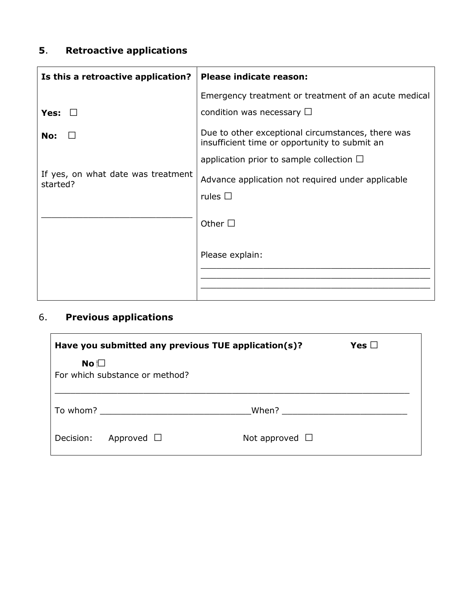## **5**. **Retroactive applications**

| Is this a retroactive application?             | Please indicate reason:                                                                            |  |
|------------------------------------------------|----------------------------------------------------------------------------------------------------|--|
|                                                | Emergency treatment or treatment of an acute medical                                               |  |
| Yes:                                           | condition was necessary $\Box$                                                                     |  |
| No:                                            | Due to other exceptional circumstances, there was<br>insufficient time or opportunity to submit an |  |
|                                                | application prior to sample collection $\Box$                                                      |  |
| If yes, on what date was treatment<br>started? | Advance application not required under applicable                                                  |  |
|                                                | rules $\Box$                                                                                       |  |
|                                                | Other $\square$                                                                                    |  |
|                                                | Please explain:                                                                                    |  |
|                                                |                                                                                                    |  |
|                                                |                                                                                                    |  |

# 6. **Previous applications**

| Have you submitted any previous TUE application(s)? | Yes $\Box$          |
|-----------------------------------------------------|---------------------|
| No $\square$<br>For which substance or method?      |                     |
| To whom?                                            | When?               |
| Decision:<br>Approved $\Box$                        | Not approved $\Box$ |